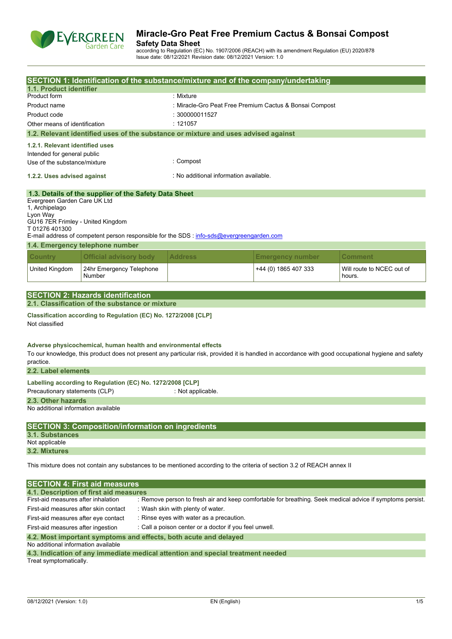

**Safety Data Sheet** according to Regulation (EC) No. 1907/2006 (REACH) with its amendment Regulation (EU) 2020/878 Issue date: 08/12/2021 Revision date: 08/12/2021 Version: 1.0

| 1.1. Product identifier                                                                                         |                                                                                             | SECTION 1: Identification of the substance/mixture and of the company/undertaking                                                                   |                                                         |                                                                                                           |
|-----------------------------------------------------------------------------------------------------------------|---------------------------------------------------------------------------------------------|-----------------------------------------------------------------------------------------------------------------------------------------------------|---------------------------------------------------------|-----------------------------------------------------------------------------------------------------------|
| Product form                                                                                                    |                                                                                             | : Mixture                                                                                                                                           |                                                         |                                                                                                           |
|                                                                                                                 |                                                                                             |                                                                                                                                                     | : Miracle-Gro Peat Free Premium Cactus & Bonsai Compost |                                                                                                           |
| Product name                                                                                                    |                                                                                             | : 300000011527                                                                                                                                      |                                                         |                                                                                                           |
| Product code                                                                                                    |                                                                                             |                                                                                                                                                     |                                                         |                                                                                                           |
| Other means of identification                                                                                   |                                                                                             | : 121057<br>1.2. Relevant identified uses of the substance or mixture and uses advised against                                                      |                                                         |                                                                                                           |
|                                                                                                                 |                                                                                             |                                                                                                                                                     |                                                         |                                                                                                           |
| 1.2.1. Relevant identified uses                                                                                 |                                                                                             |                                                                                                                                                     |                                                         |                                                                                                           |
| Intended for general public                                                                                     |                                                                                             | : Compost                                                                                                                                           |                                                         |                                                                                                           |
| Use of the substance/mixture                                                                                    |                                                                                             |                                                                                                                                                     |                                                         |                                                                                                           |
| 1.2.2. Uses advised against                                                                                     |                                                                                             | : No additional information available.                                                                                                              |                                                         |                                                                                                           |
| Evergreen Garden Care UK Ltd<br>1, Archipelago<br>Lyon Way<br>GU16 7ER Frimley - United Kingdom<br>T01276401300 | 1.3. Details of the supplier of the Safety Data Sheet                                       | E-mail address of competent person responsible for the SDS : info-sds@evergreengarden.com                                                           |                                                         |                                                                                                           |
|                                                                                                                 | 1.4. Emergency telephone number                                                             |                                                                                                                                                     |                                                         |                                                                                                           |
|                                                                                                                 | <b>Official advisory body</b>                                                               | <b>Address</b>                                                                                                                                      |                                                         |                                                                                                           |
| <b>Country</b>                                                                                                  |                                                                                             |                                                                                                                                                     | <b>Emergency number</b>                                 | <b>Comment</b>                                                                                            |
| United Kingdom                                                                                                  | 24hr Emergency Telephone<br>Number                                                          |                                                                                                                                                     | +44 (0) 1865 407 333                                    | Will route to NCEC out of<br>hours.                                                                       |
|                                                                                                                 |                                                                                             |                                                                                                                                                     |                                                         |                                                                                                           |
|                                                                                                                 | <b>SECTION 2: Hazards identification</b><br>2.1. Classification of the substance or mixture |                                                                                                                                                     |                                                         |                                                                                                           |
|                                                                                                                 |                                                                                             |                                                                                                                                                     |                                                         |                                                                                                           |
| Not classified                                                                                                  | Classification according to Regulation (EC) No. 1272/2008 [CLP]                             |                                                                                                                                                     |                                                         |                                                                                                           |
|                                                                                                                 |                                                                                             |                                                                                                                                                     |                                                         |                                                                                                           |
| practice.<br>2.2. Label elements                                                                                | Adverse physicochemical, human health and environmental effects                             | To our knowledge, this product does not present any particular risk, provided it is handled in accordance with good occupational hygiene and safety |                                                         |                                                                                                           |
|                                                                                                                 |                                                                                             |                                                                                                                                                     |                                                         |                                                                                                           |
| Precautionary statements (CLP)                                                                                  | Labelling according to Regulation (EC) No. 1272/2008 [CLP]                                  | : Not applicable.                                                                                                                                   |                                                         |                                                                                                           |
|                                                                                                                 |                                                                                             |                                                                                                                                                     |                                                         |                                                                                                           |
| 2.3. Other hazards<br>No additional information available                                                       |                                                                                             |                                                                                                                                                     |                                                         |                                                                                                           |
| <b>3.1. Substances</b>                                                                                          | <b>SECTION 3: Composition/information on ingredients</b>                                    |                                                                                                                                                     |                                                         |                                                                                                           |
| Not applicable                                                                                                  |                                                                                             |                                                                                                                                                     |                                                         |                                                                                                           |
| 3.2. Mixtures                                                                                                   |                                                                                             |                                                                                                                                                     |                                                         |                                                                                                           |
|                                                                                                                 |                                                                                             | This mixture does not contain any substances to be mentioned according to the criteria of section 3.2 of REACH annex II                             |                                                         |                                                                                                           |
|                                                                                                                 | <b>SECTION 4: First aid measures</b>                                                        |                                                                                                                                                     |                                                         |                                                                                                           |
|                                                                                                                 | 4.1. Description of first aid measures                                                      |                                                                                                                                                     |                                                         |                                                                                                           |
| First-aid measures after inhalation                                                                             |                                                                                             |                                                                                                                                                     |                                                         | : Remove person to fresh air and keep comfortable for breathing. Seek medical advice if symptoms persist. |
| First-aid measures after skin contact                                                                           |                                                                                             | : Wash skin with plenty of water.                                                                                                                   |                                                         |                                                                                                           |
| First-aid measures after eye contact                                                                            |                                                                                             | : Rinse eyes with water as a precaution.                                                                                                            |                                                         |                                                                                                           |

**4.2. Most important symptoms and effects, both acute and delayed**

No additional information available

**4.3. Indication of any immediate medical attention and special treatment needed** Treat symptomatically.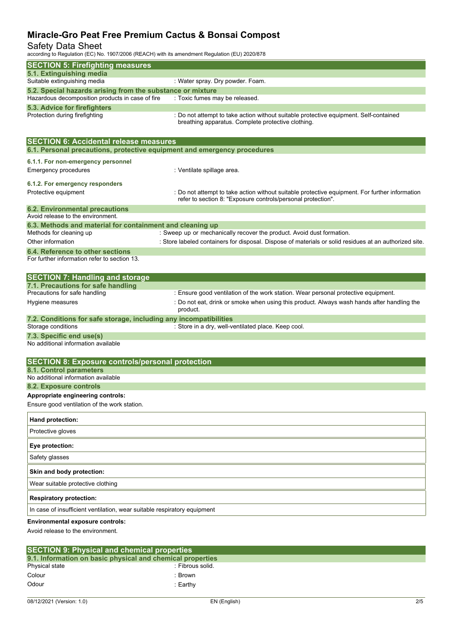### Safety Data Sheet

according to Regulation (EC) No. 1907/2006 (REACH) with its amendment Regulation (EU) 2020/878

| <b>SECTION 5: Firefighting measures</b>                                                                        |                                                                                                                                             |
|----------------------------------------------------------------------------------------------------------------|---------------------------------------------------------------------------------------------------------------------------------------------|
| 5.1. Extinguishing media                                                                                       |                                                                                                                                             |
| Suitable extinguishing media                                                                                   | : Water spray. Dry powder. Foam.                                                                                                            |
| 5.2. Special hazards arising from the substance or mixture<br>Hazardous decomposition products in case of fire | : Toxic fumes may be released.                                                                                                              |
| 5.3. Advice for firefighters                                                                                   |                                                                                                                                             |
| Protection during firefighting                                                                                 | : Do not attempt to take action without suitable protective equipment. Self-contained<br>breathing apparatus. Complete protective clothing. |
| <b>SECTION 6: Accidental release measures</b>                                                                  |                                                                                                                                             |
| 6.1. Personal precautions, protective equipment and emergency procedures                                       |                                                                                                                                             |
| 6.1.1. For non-emergency personnel                                                                             |                                                                                                                                             |
| <b>Emergency procedures</b>                                                                                    | : Ventilate spillage area.                                                                                                                  |
|                                                                                                                |                                                                                                                                             |
| 6.1.2. For emergency responders<br>Protective equipment                                                        | : Do not attempt to take action without suitable protective equipment. For further information                                              |
|                                                                                                                | refer to section 8: "Exposure controls/personal protection".                                                                                |
| <b>6.2. Environmental precautions</b>                                                                          |                                                                                                                                             |
| Avoid release to the environment.                                                                              |                                                                                                                                             |
| 6.3. Methods and material for containment and cleaning up                                                      |                                                                                                                                             |
| Methods for cleaning up                                                                                        | : Sweep up or mechanically recover the product. Avoid dust formation.                                                                       |
| Other information                                                                                              | : Store labeled containers for disposal. Dispose of materials or solid residues at an authorized site.                                      |
| 6.4. Reference to other sections<br>For further information refer to section 13.                               |                                                                                                                                             |
|                                                                                                                |                                                                                                                                             |
| <b>SECTION 7: Handling and storage</b>                                                                         |                                                                                                                                             |
| 7.1. Precautions for safe handling                                                                             |                                                                                                                                             |
| Precautions for safe handling                                                                                  | : Ensure good ventilation of the work station. Wear personal protective equipment.                                                          |
| Hygiene measures                                                                                               | : Do not eat, drink or smoke when using this product. Always wash hands after handling the<br>product.                                      |
| 7.2. Conditions for safe storage, including any incompatibilities<br>Storage conditions                        | : Store in a dry, well-ventilated place. Keep cool.                                                                                         |
| 7.3. Specific end use(s)                                                                                       |                                                                                                                                             |
| No additional information available                                                                            |                                                                                                                                             |
|                                                                                                                |                                                                                                                                             |
| <b>SECTION 8: Exposure controls/personal protection</b><br>8.1. Control parameters                             |                                                                                                                                             |
| No additional information available                                                                            |                                                                                                                                             |
| 8.2. Exposure controls                                                                                         |                                                                                                                                             |
| Appropriate engineering controls:                                                                              |                                                                                                                                             |
| Ensure good ventilation of the work station.                                                                   |                                                                                                                                             |
| Hand protection:                                                                                               |                                                                                                                                             |
| Protective gloves                                                                                              |                                                                                                                                             |
| Eye protection:                                                                                                |                                                                                                                                             |
| Safety glasses                                                                                                 |                                                                                                                                             |
| Skin and body protection:                                                                                      |                                                                                                                                             |
| Wear suitable protective clothing                                                                              |                                                                                                                                             |
| <b>Respiratory protection:</b>                                                                                 |                                                                                                                                             |
| In case of insufficient ventilation, wear suitable respiratory equipment                                       |                                                                                                                                             |
| <b>Environmental exposure controls:</b>                                                                        |                                                                                                                                             |
| Avoid release to the environment.                                                                              |                                                                                                                                             |
|                                                                                                                |                                                                                                                                             |

| <b>SECTION 9: Physical and chemical properties</b> |                                                            |  |  |  |
|----------------------------------------------------|------------------------------------------------------------|--|--|--|
|                                                    | 9.1. Information on basic physical and chemical properties |  |  |  |
| Physical state                                     | : Fibrous solid.                                           |  |  |  |
| Colour                                             | :Brown                                                     |  |  |  |
| Odour                                              | :Earthv                                                    |  |  |  |
|                                                    |                                                            |  |  |  |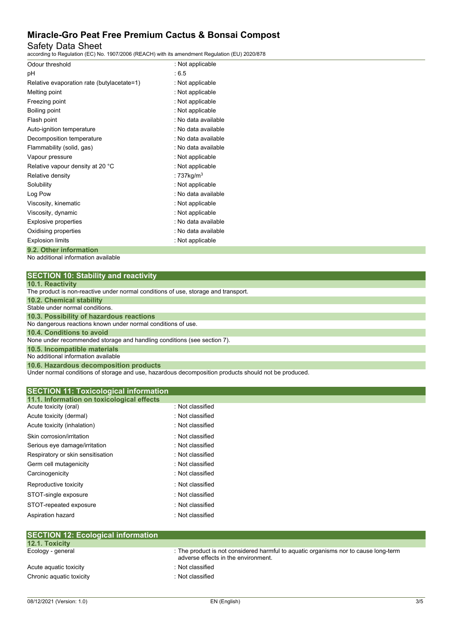Safety Data Sheet

according to Regulation (EC) No. 1907/2006 (REACH) with its amendment Regulation (EU) 2020/878

| Odour threshold                            | : Not applicable    |
|--------------------------------------------|---------------------|
| рH                                         | : 6.5               |
| Relative evaporation rate (butylacetate=1) | : Not applicable    |
| Melting point                              | : Not applicable    |
| Freezing point                             | : Not applicable    |
| Boiling point                              | : Not applicable    |
| Flash point                                | : No data available |
| Auto-ignition temperature                  | : No data available |
| Decomposition temperature                  | : No data available |
| Flammability (solid, gas)                  | : No data available |
| Vapour pressure                            | : Not applicable    |
| Relative vapour density at 20 °C           | : Not applicable    |
| Relative density                           | : 737kg/m $3$       |
| Solubility                                 | : Not applicable    |
| Log Pow                                    | : No data available |
| Viscosity, kinematic                       | : Not applicable    |
| Viscosity, dynamic                         | : Not applicable    |
| Explosive properties                       | : No data available |
| Oxidising properties                       | : No data available |
| <b>Explosion limits</b>                    | : Not applicable    |
| 9.2. Other information                     |                     |

No additional information available

| <b>SECTION 10: Stability and reactivity</b> |  |
|---------------------------------------------|--|
|---------------------------------------------|--|

|  |  | 10.1. Reactivity |  |  |  |
|--|--|------------------|--|--|--|
|  |  |                  |  |  |  |

| 19111110000111101                                                                  |
|------------------------------------------------------------------------------------|
| The product is non-reactive under normal conditions of use, storage and transport. |
| 10.2. Chemical stability                                                           |
| Stable under normal conditions.                                                    |
| 10.3. Possibility of hazardous reactions                                           |
| No dangerous reactions known under normal conditions of use.                       |
| 10.4. Conditions to avoid                                                          |
| None under recommended storage and handling conditions (see section 7).            |
| 10.5. Incompatible materials                                                       |
| No additional information available                                                |
| 10.6. Hazardous decomposition products                                             |

Under normal conditions of storage and use, hazardous decomposition products should not be produced.

| <b>SECTION 11: Toxicological information</b><br>11.1. Information on toxicological effects |                  |  |
|--------------------------------------------------------------------------------------------|------------------|--|
| Acute toxicity (oral)                                                                      | : Not classified |  |
| Acute toxicity (dermal)                                                                    | : Not classified |  |
| Acute toxicity (inhalation)                                                                | : Not classified |  |
| Skin corrosion/irritation                                                                  | : Not classified |  |
| Serious eye damage/irritation                                                              | : Not classified |  |
| Respiratory or skin sensitisation                                                          | : Not classified |  |
| Germ cell mutagenicity                                                                     | : Not classified |  |
| Carcinogenicity                                                                            | : Not classified |  |
| Reproductive toxicity                                                                      | : Not classified |  |
| STOT-single exposure                                                                       | : Not classified |  |
| STOT-repeated exposure                                                                     | : Not classified |  |
| Aspiration hazard                                                                          | : Not classified |  |
|                                                                                            |                  |  |
| <b>SECTION 12: Ecological information</b>                                                  |                  |  |

| <b>12.1. Toxicity</b>    |                                                                                                                            |
|--------------------------|----------------------------------------------------------------------------------------------------------------------------|
| Ecology - general        | : The product is not considered harmful to aquatic organisms nor to cause long-term<br>adverse effects in the environment. |
| Acute aguatic toxicity   | : Not classified                                                                                                           |
| Chronic aquatic toxicity | : Not classified                                                                                                           |
|                          |                                                                                                                            |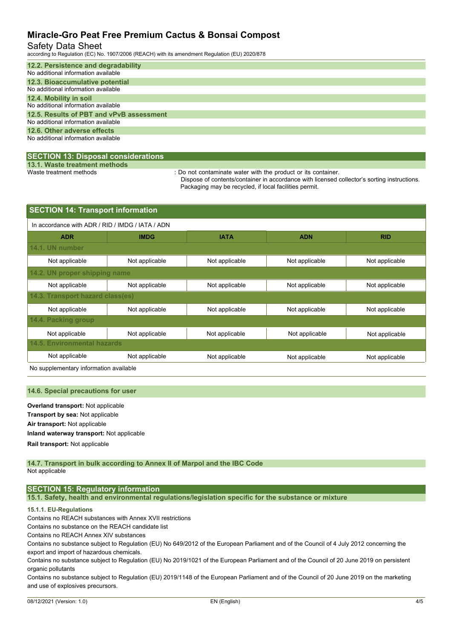#### Safety Data Sheet

according to Regulation (EC) No. 1907/2006 (REACH) with its amendment Regulation (EU) 2020/878

| 12.2. Persistence and degradability      |
|------------------------------------------|
| No additional information available      |
| 12.3. Bioaccumulative potential          |
| No additional information available      |
| 12.4. Mobility in soil                   |
| No additional information available      |
| 12.5. Results of PBT and vPvB assessment |
| No additional information available      |
| 12.6. Other adverse effects              |
| No additional information available      |
|                                          |

#### **SECTION 13: Disposal considerations**

**13.1. Waste treatment methods**

: Do not contaminate water with the product or its container.

Dispose of contents/container in accordance with licensed collector's sorting instructions. Packaging may be recycled, if local facilities permit.

| <b>SECTION 14: Transport information</b>                                               |                                                        |                |                |                |  |  |  |
|----------------------------------------------------------------------------------------|--------------------------------------------------------|----------------|----------------|----------------|--|--|--|
| In accordance with ADR / RID / IMDG / IATA / ADN                                       |                                                        |                |                |                |  |  |  |
| <b>ADR</b>                                                                             | <b>RID</b><br><b>IMDG</b><br><b>IATA</b><br><b>ADN</b> |                |                |                |  |  |  |
| 14.1. UN number                                                                        |                                                        |                |                |                |  |  |  |
| Not applicable                                                                         | Not applicable                                         | Not applicable | Not applicable | Not applicable |  |  |  |
| 14.2. UN proper shipping name                                                          |                                                        |                |                |                |  |  |  |
| Not applicable                                                                         | Not applicable                                         | Not applicable | Not applicable | Not applicable |  |  |  |
| 14.3. Transport hazard class(es)                                                       |                                                        |                |                |                |  |  |  |
| Not applicable                                                                         | Not applicable                                         | Not applicable | Not applicable | Not applicable |  |  |  |
| 14.4. Packing group                                                                    |                                                        |                |                |                |  |  |  |
| Not applicable                                                                         | Not applicable                                         | Not applicable | Not applicable | Not applicable |  |  |  |
| <b>14.5. Environmental hazards</b>                                                     |                                                        |                |                |                |  |  |  |
| Not applicable<br>Not applicable<br>Not applicable<br>Not applicable<br>Not applicable |                                                        |                |                |                |  |  |  |

No supplementary information available

#### **14.6. Special precautions for user**

**Overland transport:** Not applicable **Transport by sea:** Not applicable **Air transport:** Not applicable **Inland waterway transport:** Not applicable **Rail.transport:** Not applicable

**14.7. Transport in bulk according to Annex II of Marpol and the IBC Code** Not applicable

#### **SECTION 15: Regulatory information**

**15.1. Safety, health and environmental regulations/legislation specific for the substance or mixture**

#### **15.1.1. EU-Regulations**

Contains no REACH substances with Annex XVII restrictions

Contains no substance on the REACH candidate list

Contains no REACH Annex XIV substances

Contains no substance subject to Regulation (EU) No 649/2012 of the European Parliament and of the Council of 4 July 2012 concerning the export and import of hazardous chemicals.

Contains no substance subject to Regulation (EU) No 2019/1021 of the European Parliament and of the Council of 20 June 2019 on persistent organic pollutants

Contains no substance subject to Regulation (EU) 2019/1148 of the European Parliament and of the Council of 20 June 2019 on the marketing and use of explosives precursors.